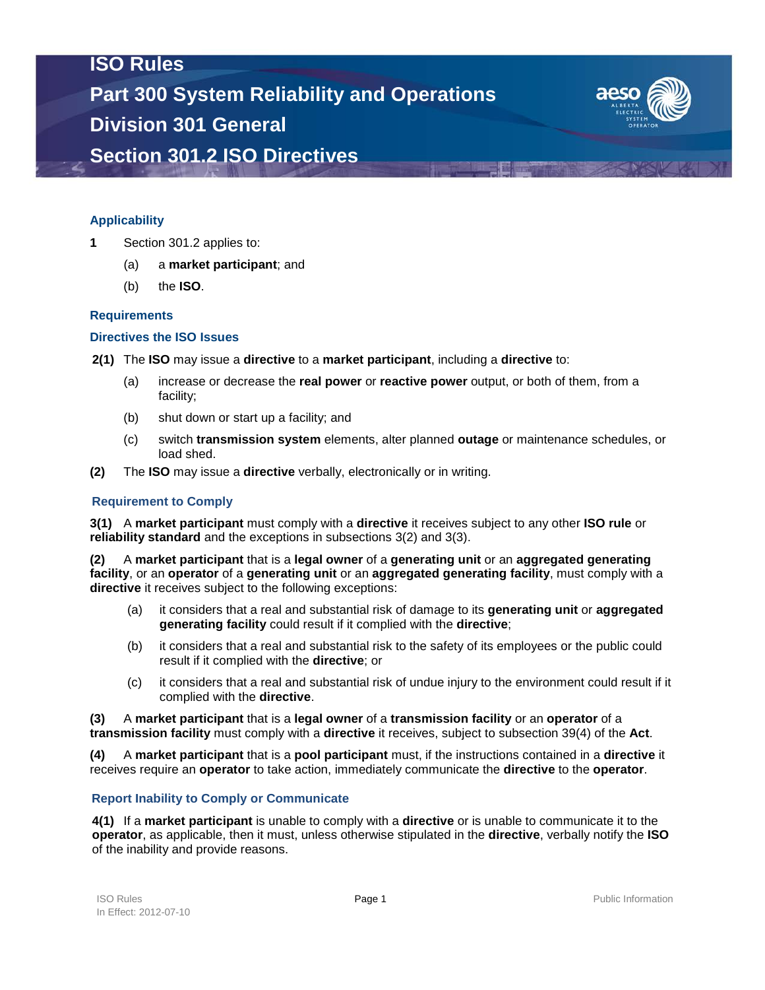# **ISO Rules Part 300 System Reliability and Operations Division 301 General Section 301.2 ISO Directives**



### **Applicability**

- **1** Section 301.2 applies to:
	- (a) a **market participant**; and
	- (b) the **ISO**.

#### **Requirements**

#### **Directives the ISO Issues**

- **2(1)** The **ISO** may issue a **directive** to a **market participant**, including a **directive** to:
	- (a) increase or decrease the **real power** or **reactive power** output, or both of them, from a facility;
	- (b) shut down or start up a facility; and
	- (c) switch **transmission system** elements, alter planned **outage** or maintenance schedules, or load shed.
- **(2)** The **ISO** may issue a **directive** verbally, electronically or in writing.

#### **Requirement to Comply**

**3(1)** A **market participant** must comply with a **directive** it receives subject to any other **ISO rule** or **reliability standard** and the exceptions in subsections 3(2) and 3(3).

**(2)** A **market participant** that is a **legal owner** of a **generating unit** or an **aggregated generating facility**, or an **operator** of a **generating unit** or an **aggregated generating facility**, must comply with a **directive** it receives subject to the following exceptions:

- (a) it considers that a real and substantial risk of damage to its **generating unit** or **aggregated generating facility** could result if it complied with the **directive**;
- (b) it considers that a real and substantial risk to the safety of its employees or the public could result if it complied with the **directive**; or
- (c) it considers that a real and substantial risk of undue injury to the environment could result if it complied with the **directive**.

**(3)** A **market participant** that is a **legal owner** of a **transmission facility** or an **operator** of a **transmission facility** must comply with a **directive** it receives, subject to subsection 39(4) of the **Act**.

**(4)** A **market participant** that is a **pool participant** must, if the instructions contained in a **directive** it receives require an **operator** to take action, immediately communicate the **directive** to the **operator**.

#### **Report Inability to Comply or Communicate**

**4(1)** If a **market participant** is unable to comply with a **directive** or is unable to communicate it to the **operator**, as applicable, then it must, unless otherwise stipulated in the **directive**, verbally notify the **ISO** of the inability and provide reasons.